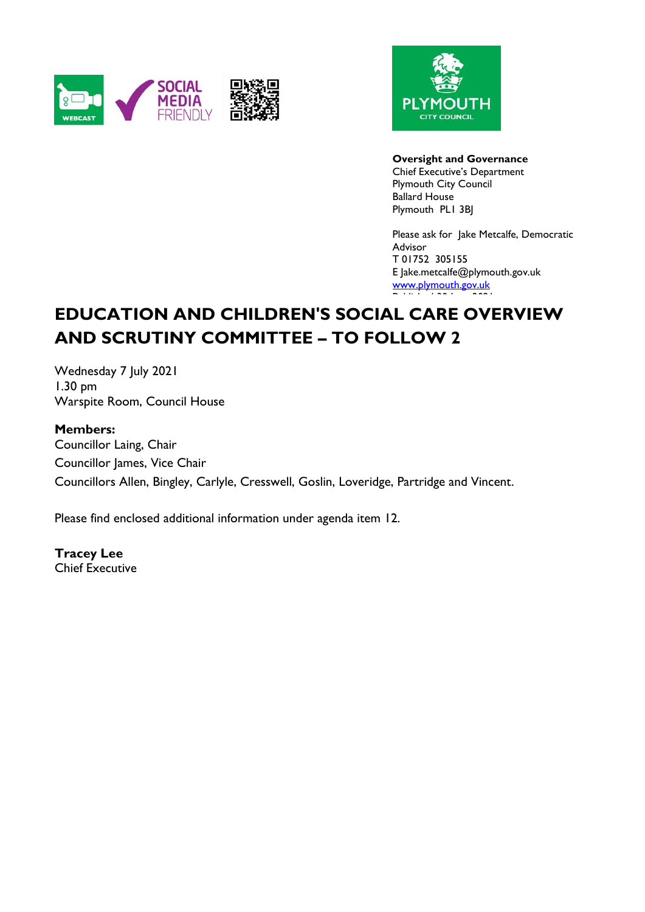



#### **Oversight and Governance**

Chief Executive's Department Plymouth City Council Ballard House Plymouth PL1 3BJ

Please ask for Jake Metcalfe, Democratic Advisor T 01752 305155 E Jake.metcalfe@plymouth.gov.uk [www.plymouth.gov.uk](https://www.plymouth.gov.uk/councillorscommitteesandmeetings) Published 30 June 2021

# **EDUCATION AND CHILDREN'S SOCIAL CARE OVERVIEW AND SCRUTINY COMMITTEE – TO FOLLOW 2**

Wednesday 7 July 2021 1.30 pm Warspite Room, Council House

### **Members:**

Councillor Laing, Chair Councillor James, Vice Chair Councillors Allen, Bingley, Carlyle, Cresswell, Goslin, Loveridge, Partridge and Vincent.

Please find enclosed additional information under agenda item 12.

**Tracey Lee** Chief Executive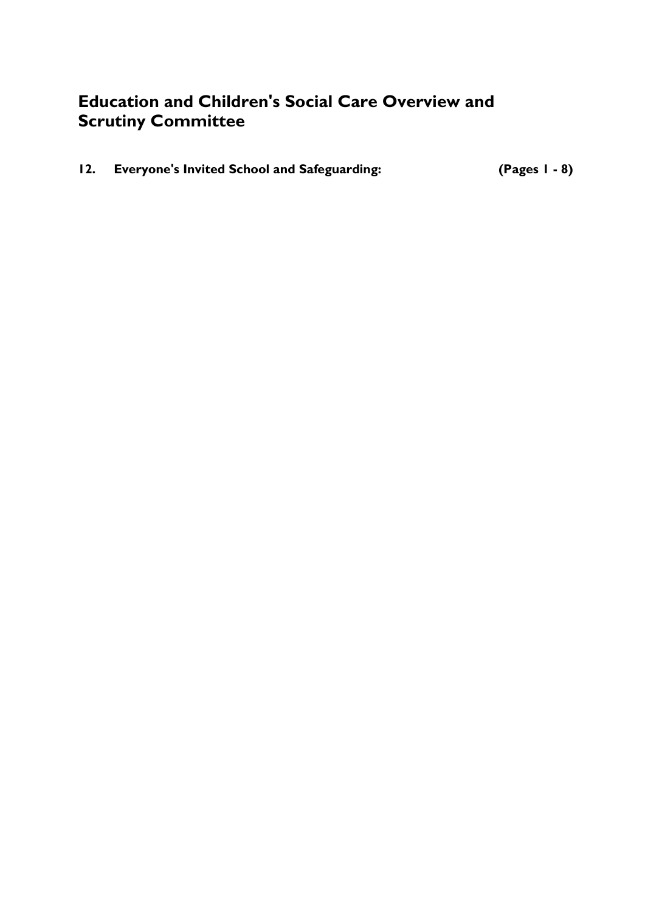# **Education and Children's Social Care Overview and Scrutiny Committee**

| 12. Everyone's Invited School and Safeguarding: | $(Pages I - 8)$ |
|-------------------------------------------------|-----------------|
|                                                 |                 |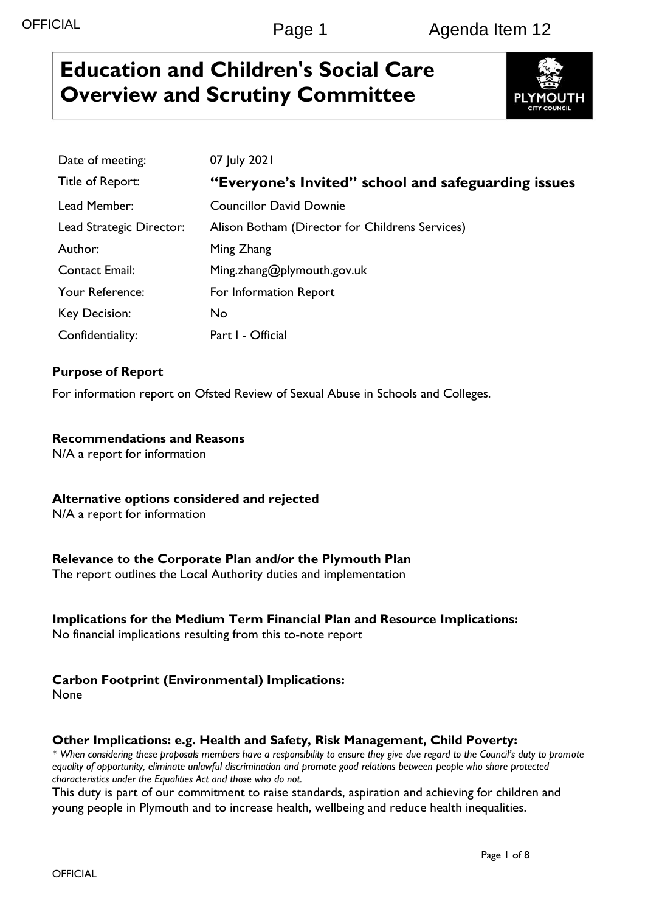# **Education and Children's Social Care Overview and Scrutiny Committee**



| Date of meeting:         | 07 July 2021                                        |
|--------------------------|-----------------------------------------------------|
| Title of Report:         | "Everyone's Invited" school and safeguarding issues |
| Lead Member:             | <b>Councillor David Downie</b>                      |
| Lead Strategic Director: | Alison Botham (Director for Childrens Services)     |
| Author:                  | Ming Zhang                                          |
| <b>Contact Email:</b>    | Ming.zhang@plymouth.gov.uk                          |
| Your Reference:          | For Information Report                              |
| Key Decision:            | No                                                  |
| Confidentiality:         | Part I - Official                                   |

# **Purpose of Report**

For information report on Ofsted Review of Sexual Abuse in Schools and Colleges.

#### **Recommendations and Reasons**

N/A a report for information

#### **Alternative options considered and rejected**

N/A a report for information

### **Relevance to the Corporate Plan and/or the Plymouth Plan**

The report outlines the Local Authority duties and implementation

### **Implications for the Medium Term Financial Plan and Resource Implications:**

No financial implications resulting from this to-note report

### **Carbon Footprint (Environmental) Implications:**

None

#### **Other Implications: e.g. Health and Safety, Risk Management, Child Poverty:**

*\* When considering these proposals members have a responsibility to ensure they give due regard to the Council's duty to promote equality of opportunity, eliminate unlawful discrimination and promote good relations between people who share protected characteristics under the Equalities Act and those who do not.*

This duty is part of our commitment to raise standards, aspiration and achieving for children and young people in Plymouth and to increase health, wellbeing and reduce health inequalities.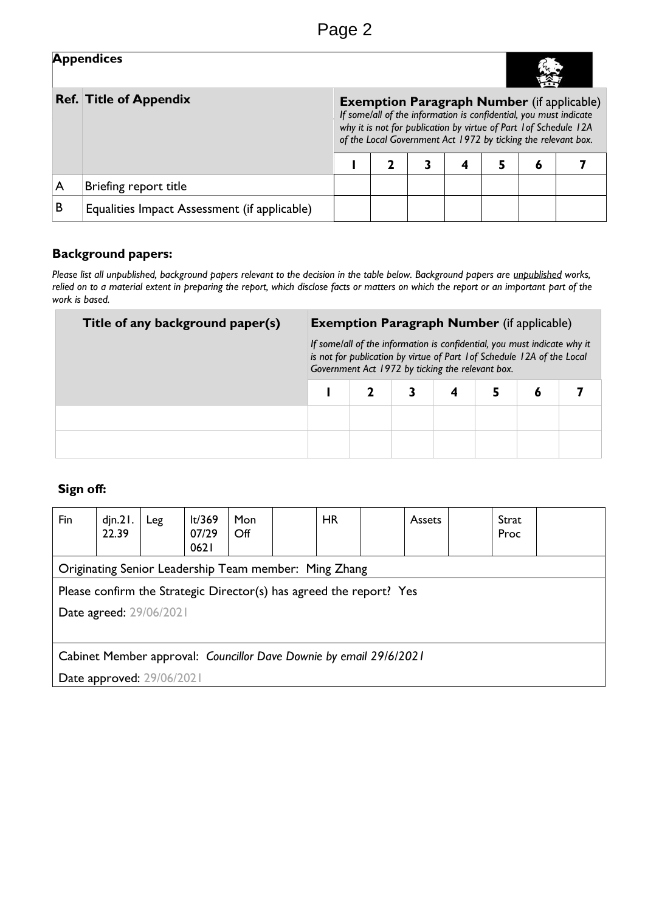|   | <b>Appendices</b>                            |             |                                                                                                                                                                                                                                                              |  |  |  |  |  |  |  |
|---|----------------------------------------------|-------------|--------------------------------------------------------------------------------------------------------------------------------------------------------------------------------------------------------------------------------------------------------------|--|--|--|--|--|--|--|
|   | <b>Ref. Title of Appendix</b>                |             | <b>Exemption Paragraph Number</b> (if applicable)<br>If some/all of the information is confidential, you must indicate<br>why it is not for publication by virtue of Part 1 of Schedule 12A<br>of the Local Government Act 1972 by ticking the relevant box. |  |  |  |  |  |  |  |
|   |                                              | 5<br>4<br>ō |                                                                                                                                                                                                                                                              |  |  |  |  |  |  |  |
| A | Briefing report title                        |             |                                                                                                                                                                                                                                                              |  |  |  |  |  |  |  |
| B | Equalities Impact Assessment (if applicable) |             |                                                                                                                                                                                                                                                              |  |  |  |  |  |  |  |

# **Background papers:**

*Please list all unpublished, background papers relevant to the decision in the table below. Background papers are unpublished works, relied on to a material extent in preparing the report, which disclose facts or matters on which the report or an important part of the work is based.*

| Title of any background paper(s) | <b>Exemption Paragraph Number</b> (if applicable) |                                                                                                                                                                                                         |  |  |  |  |  |
|----------------------------------|---------------------------------------------------|---------------------------------------------------------------------------------------------------------------------------------------------------------------------------------------------------------|--|--|--|--|--|
|                                  |                                                   | If some/all of the information is confidential, you must indicate why it<br>is not for publication by virtue of Part 1 of Schedule 12A of the Local<br>Government Act 1972 by ticking the relevant box. |  |  |  |  |  |
|                                  |                                                   |                                                                                                                                                                                                         |  |  |  |  |  |
|                                  |                                                   |                                                                                                                                                                                                         |  |  |  |  |  |
|                                  |                                                   |                                                                                                                                                                                                         |  |  |  |  |  |

# **Sign off:**

| Fin                                                                 | din.21.<br>22.39                                      | Leg | lt/369<br>07/29<br>0621 | Mon<br>$\mathsf{Off}$ |  | <b>HR</b> |  | <b>Assets</b> |  | Strat<br>Proc |  |
|---------------------------------------------------------------------|-------------------------------------------------------|-----|-------------------------|-----------------------|--|-----------|--|---------------|--|---------------|--|
|                                                                     | Originating Senior Leadership Team member: Ming Zhang |     |                         |                       |  |           |  |               |  |               |  |
| Please confirm the Strategic Director(s) has agreed the report? Yes |                                                       |     |                         |                       |  |           |  |               |  |               |  |
|                                                                     | Date agreed: 29/06/2021                               |     |                         |                       |  |           |  |               |  |               |  |
|                                                                     |                                                       |     |                         |                       |  |           |  |               |  |               |  |
| Cabinet Member approval: Councillor Dave Downie by email 29/6/2021  |                                                       |     |                         |                       |  |           |  |               |  |               |  |
| Date approved: 29/06/2021                                           |                                                       |     |                         |                       |  |           |  |               |  |               |  |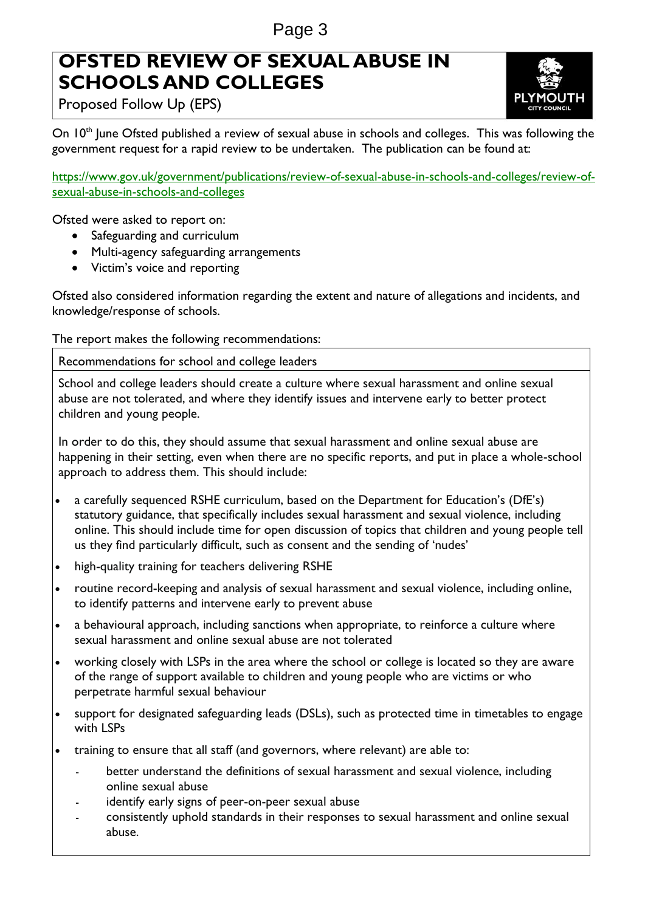# **OFSTED REVIEW OF SEXUAL ABUSE IN SCHOOLS AND COLLEGES**



Proposed Follow Up (EPS)

On 10<sup>th</sup> June Ofsted published a review of sexual abuse in schools and colleges. This was following the government request for a rapid review to be undertaken. The publication can be found at:

[https://www.gov.uk/government/publications/review-of-sexual-abuse-in-schools-and-colleges/review-of](https://www.gov.uk/government/publications/review-of-sexual-abuse-in-schools-and-colleges/review-of-sexual-abuse-in-schools-and-colleges)[sexual-abuse-in-schools-and-colleges](https://www.gov.uk/government/publications/review-of-sexual-abuse-in-schools-and-colleges/review-of-sexual-abuse-in-schools-and-colleges)

Ofsted were asked to report on:

- Safeguarding and curriculum
- Multi-agency safeguarding arrangements
- Victim's voice and reporting

Ofsted also considered information regarding the extent and nature of allegations and incidents, and knowledge/response of schools.

The report makes the following recommendations:

Recommendations for school and college leaders

School and college leaders should create a culture where sexual harassment and online sexual abuse are not tolerated, and where they identify issues and intervene early to better protect children and young people.

In order to do this, they should assume that sexual harassment and online sexual abuse are happening in their setting, even when there are no specific reports, and put in place a whole-school approach to address them. This should include:

- a carefully sequenced RSHE curriculum, based on the Department for Education's (DfE's) statutory guidance, that specifically includes sexual harassment and sexual violence, including online. This should include time for open discussion of topics that children and young people tell us they find particularly difficult, such as consent and the sending of 'nudes'
- high-quality training for teachers delivering RSHE
- routine record-keeping and analysis of sexual harassment and sexual violence, including online, to identify patterns and intervene early to prevent abuse
- a behavioural approach, including sanctions when appropriate, to reinforce a culture where sexual harassment and online sexual abuse are not tolerated
- working closely with LSPs in the area where the school or college is located so they are aware of the range of support available to children and young people who are victims or who perpetrate harmful sexual behaviour
- support for designated safeguarding leads (DSLs), such as protected time in timetables to engage with LSPs
- training to ensure that all staff (and governors, where relevant) are able to:
	- better understand the definitions of sexual harassment and sexual violence, including online sexual abuse
	- identify early signs of peer-on-peer sexual abuse
	- consistently uphold standards in their responses to sexual harassment and online sexual abuse.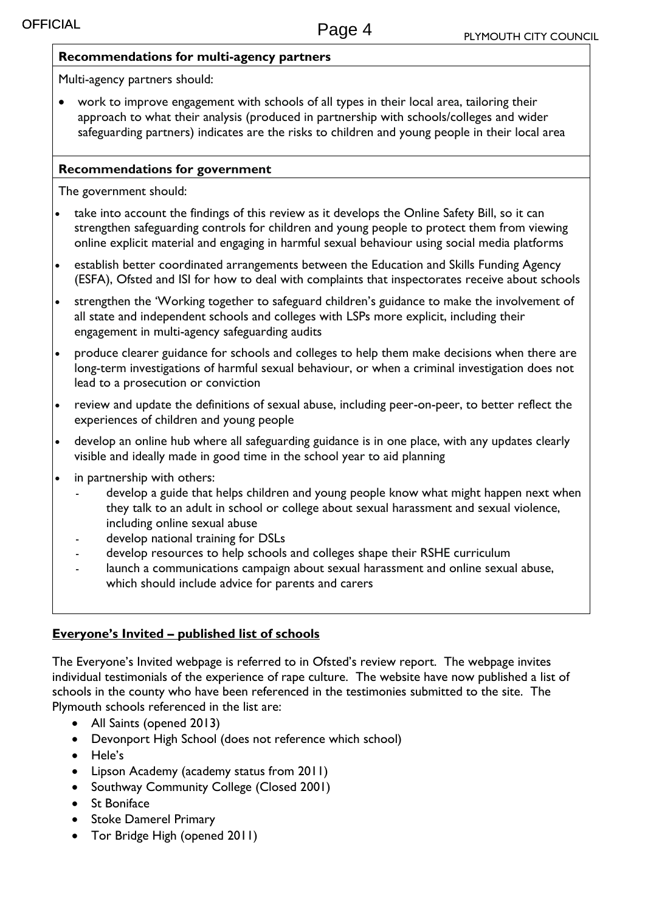### **Recommendations for multi-agency partners**

Multi-agency partners should:

 work to improve engagement with schools of all types in their local area, tailoring their approach to what their analysis (produced in partnership with schools/colleges and wider safeguarding partners) indicates are the risks to children and young people in their local area

## **Recommendations for government**

The government should:

- take into account the findings of this review as it develops the Online Safety Bill, so it can strengthen safeguarding controls for children and young people to protect them from viewing online explicit material and engaging in harmful sexual behaviour using social media platforms
- establish better coordinated arrangements between the Education and Skills Funding Agency (ESFA), Ofsted and ISI for how to deal with complaints that inspectorates receive about schools
- strengthen the 'Working together to safeguard children's guidance to make the involvement of all state and independent schools and colleges with LSPs more explicit, including their engagement in multi-agency safeguarding audits
- produce clearer guidance for schools and colleges to help them make decisions when there are long-term investigations of harmful sexual behaviour, or when a criminal investigation does not lead to a prosecution or conviction
- review and update the definitions of sexual abuse, including peer-on-peer, to better reflect the experiences of children and young people
- develop an online hub where all safeguarding guidance is in one place, with any updates clearly visible and ideally made in good time in the school year to aid planning
- in partnership with others:
	- develop a guide that helps children and young people know what might happen next when they talk to an adult in school or college about sexual harassment and sexual violence, including online sexual abuse
	- develop national training for DSLs
	- develop resources to help schools and colleges shape their RSHE curriculum
	- launch a communications campaign about sexual harassment and online sexual abuse, which should include advice for parents and carers

# **Everyone's Invited – published list of schools**

The Everyone's Invited webpage is referred to in Ofsted's review report. The webpage invites individual testimonials of the experience of rape culture. The website have now published a list of schools in the county who have been referenced in the testimonies submitted to the site. The Plymouth schools referenced in the list are:

- All Saints (opened 2013)
- Devonport High School (does not reference which school)
- Hele's
- Lipson Academy (academy status from 2011)
- Southway Community College (Closed 2001)
- **St Boniface**
- Stoke Damerel Primary
- Tor Bridge High (opened 2011)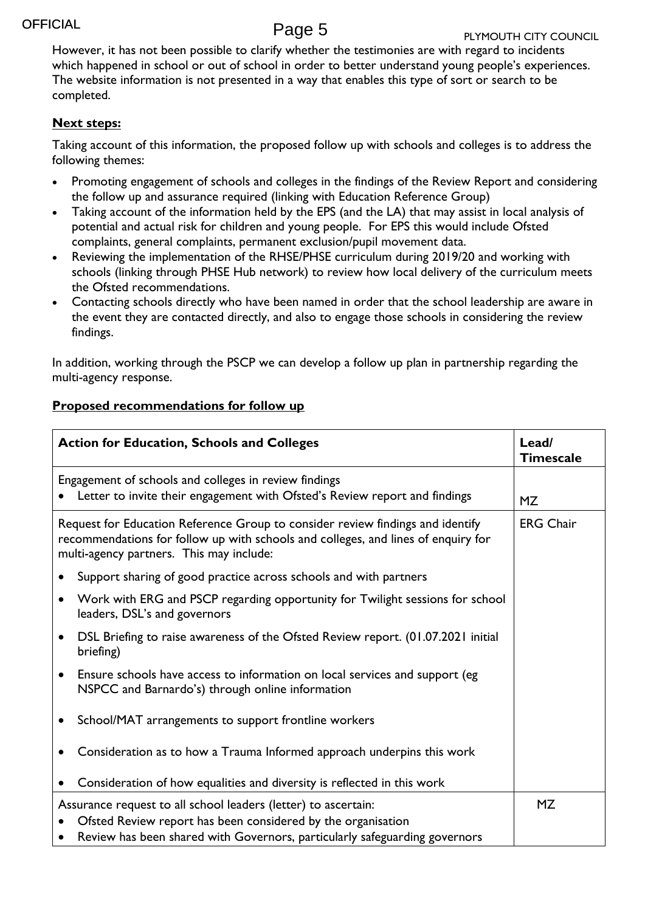However, it has not been possible to clarify whether the testimonies are with regard to incidents which happened in school or out of school in order to better understand young people's experiences. The website information is not presented in a way that enables this type of sort or search to be completed.

### **Next steps:**

Taking account of this information, the proposed follow up with schools and colleges is to address the following themes:

- Promoting engagement of schools and colleges in the findings of the Review Report and considering the follow up and assurance required (linking with Education Reference Group)
- Taking account of the information held by the EPS (and the LA) that may assist in local analysis of potential and actual risk for children and young people. For EPS this would include Ofsted complaints, general complaints, permanent exclusion/pupil movement data.
- Reviewing the implementation of the RHSE/PHSE curriculum during 2019/20 and working with schools (linking through PHSE Hub network) to review how local delivery of the curriculum meets the Ofsted recommendations.
- Contacting schools directly who have been named in order that the school leadership are aware in the event they are contacted directly, and also to engage those schools in considering the review findings.

In addition, working through the PSCP we can develop a follow up plan in partnership regarding the multi-agency response.

# **Proposed recommendations for follow up**

| <b>Action for Education, Schools and Colleges</b>                                                                                                                                                               | Lead/<br><b>Timescale</b>                                                                                                           |    |
|-----------------------------------------------------------------------------------------------------------------------------------------------------------------------------------------------------------------|-------------------------------------------------------------------------------------------------------------------------------------|----|
|                                                                                                                                                                                                                 | Engagement of schools and colleges in review findings<br>Letter to invite their engagement with Ofsted's Review report and findings | MZ |
| Request for Education Reference Group to consider review findings and identify<br>recommendations for follow up with schools and colleges, and lines of enquiry for<br>multi-agency partners. This may include: | <b>ERG Chair</b>                                                                                                                    |    |
|                                                                                                                                                                                                                 | Support sharing of good practice across schools and with partners                                                                   |    |
|                                                                                                                                                                                                                 | Work with ERG and PSCP regarding opportunity for Twilight sessions for school<br>leaders, DSL's and governors                       |    |
|                                                                                                                                                                                                                 | DSL Briefing to raise awareness of the Ofsted Review report. (01.07.2021 initial<br>briefing)                                       |    |
| $\bullet$                                                                                                                                                                                                       | Ensure schools have access to information on local services and support (eg<br>NSPCC and Barnardo's) through online information     |    |
|                                                                                                                                                                                                                 | School/MAT arrangements to support frontline workers                                                                                |    |
|                                                                                                                                                                                                                 | Consideration as to how a Trauma Informed approach underpins this work                                                              |    |
|                                                                                                                                                                                                                 | Consideration of how equalities and diversity is reflected in this work                                                             |    |
| Assurance request to all school leaders (letter) to ascertain:                                                                                                                                                  | <b>MZ</b>                                                                                                                           |    |
|                                                                                                                                                                                                                 | Ofsted Review report has been considered by the organisation                                                                        |    |
|                                                                                                                                                                                                                 | Review has been shared with Governors, particularly safeguarding governors                                                          |    |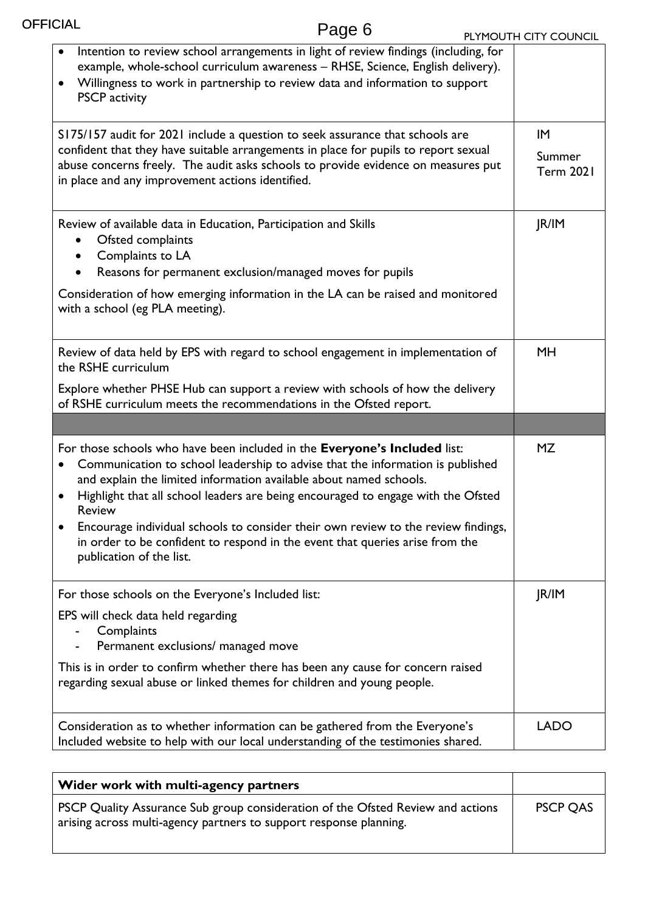| FICIAL<br>Page 6                                                                                                                                                                                                                                                                                                                                                                                                                                                                                                                                                  | PLYMOUTH CITY COUNCIL            |
|-------------------------------------------------------------------------------------------------------------------------------------------------------------------------------------------------------------------------------------------------------------------------------------------------------------------------------------------------------------------------------------------------------------------------------------------------------------------------------------------------------------------------------------------------------------------|----------------------------------|
| Intention to review school arrangements in light of review findings (including, for<br>example, whole-school curriculum awareness - RHSE, Science, English delivery).<br>Willingness to work in partnership to review data and information to support<br>$\bullet$<br><b>PSCP</b> activity                                                                                                                                                                                                                                                                        |                                  |
| S175/157 audit for 2021 include a question to seek assurance that schools are<br>confident that they have suitable arrangements in place for pupils to report sexual<br>abuse concerns freely. The audit asks schools to provide evidence on measures put<br>in place and any improvement actions identified.                                                                                                                                                                                                                                                     | IM<br>Summer<br><b>Term 2021</b> |
| Review of available data in Education, Participation and Skills<br>Ofsted complaints<br>Complaints to LA<br>Reasons for permanent exclusion/managed moves for pupils<br>Consideration of how emerging information in the LA can be raised and monitored<br>with a school (eg PLA meeting).                                                                                                                                                                                                                                                                        | JR/IM                            |
| Review of data held by EPS with regard to school engagement in implementation of<br>the RSHE curriculum<br>Explore whether PHSE Hub can support a review with schools of how the delivery<br>of RSHE curriculum meets the recommendations in the Ofsted report.                                                                                                                                                                                                                                                                                                   | <b>MH</b>                        |
|                                                                                                                                                                                                                                                                                                                                                                                                                                                                                                                                                                   |                                  |
| For those schools who have been included in the Everyone's Included list:<br>Communication to school leadership to advise that the information is published<br>$\bullet$<br>and explain the limited information available about named schools.<br>Highlight that all school leaders are being encouraged to engage with the Ofsted<br>$\bullet$<br><b>Review</b><br>Encourage individual schools to consider their own review to the review findings,<br>in order to be confident to respond in the event that queries arise from the<br>publication of the list. | <b>MZ</b>                        |
| For those schools on the Everyone's Included list:                                                                                                                                                                                                                                                                                                                                                                                                                                                                                                                | JR/IM                            |
| EPS will check data held regarding<br>Complaints<br>Permanent exclusions/ managed move                                                                                                                                                                                                                                                                                                                                                                                                                                                                            |                                  |
| This is in order to confirm whether there has been any cause for concern raised<br>regarding sexual abuse or linked themes for children and young people.                                                                                                                                                                                                                                                                                                                                                                                                         |                                  |
| Consideration as to whether information can be gathered from the Everyone's<br>Included website to help with our local understanding of the testimonies shared.                                                                                                                                                                                                                                                                                                                                                                                                   | <b>LADO</b>                      |

**OFFICIAL** 

| Wider work with multi-agency partners                                                                                                                 |                 |
|-------------------------------------------------------------------------------------------------------------------------------------------------------|-----------------|
| PSCP Quality Assurance Sub group consideration of the Ofsted Review and actions<br>arising across multi-agency partners to support response planning. | <b>PSCP QAS</b> |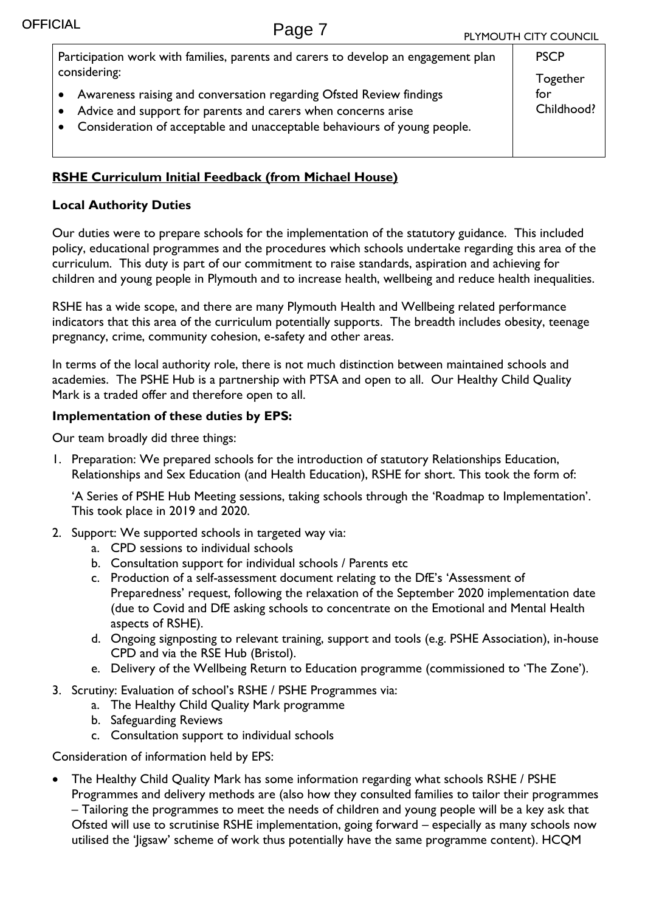| Participation work with families, parents and carers to develop an engagement plan                                                                                                                                                     | <b>PSCP</b>                   |
|----------------------------------------------------------------------------------------------------------------------------------------------------------------------------------------------------------------------------------------|-------------------------------|
| considering:<br>• Awareness raising and conversation regarding Ofsted Review findings<br>• Advice and support for parents and carers when concerns arise<br>• Consideration of acceptable and unacceptable behaviours of young people. | Together<br>for<br>Childhood? |

## **RSHE Curriculum Initial Feedback (from Michael House)**

### **Local Authority Duties**

Our duties were to prepare schools for the implementation of the statutory guidance. This included policy, educational programmes and the procedures which schools undertake regarding this area of the curriculum. This duty is part of our commitment to raise standards, aspiration and achieving for children and young people in Plymouth and to increase health, wellbeing and reduce health inequalities.

RSHE has a wide scope, and there are many Plymouth Health and Wellbeing related performance indicators that this area of the curriculum potentially supports. The breadth includes obesity, teenage pregnancy, crime, community cohesion, e-safety and other areas.

In terms of the local authority role, there is not much distinction between maintained schools and academies. The PSHE Hub is a partnership with PTSA and open to all. Our Healthy Child Quality Mark is a traded offer and therefore open to all.

### **Implementation of these duties by EPS:**

Our team broadly did three things:

1. Preparation: We prepared schools for the introduction of statutory Relationships Education, Relationships and Sex Education (and Health Education), RSHE for short. This took the form of:

'A Series of PSHE Hub Meeting sessions, taking schools through the 'Roadmap to Implementation'. This took place in 2019 and 2020.

- 2. Support: We supported schools in targeted way via:
	- a. CPD sessions to individual schools
	- b. Consultation support for individual schools / Parents etc
	- c. Production of a self-assessment document relating to the DfE's 'Assessment of Preparedness' request, following the relaxation of the September 2020 implementation date (due to Covid and DfE asking schools to concentrate on the Emotional and Mental Health aspects of RSHE).
	- d. Ongoing signposting to relevant training, support and tools (e.g. PSHE Association), in-house CPD and via the RSE Hub (Bristol).
	- e. Delivery of the Wellbeing Return to Education programme (commissioned to 'The Zone').
- 3. Scrutiny: Evaluation of school's RSHE / PSHE Programmes via:
	- a. The Healthy Child Quality Mark programme
	- b. Safeguarding Reviews
	- c. Consultation support to individual schools

Consideration of information held by EPS:

 The Healthy Child Quality Mark has some information regarding what schools RSHE / PSHE Programmes and delivery methods are (also how they consulted families to tailor their programmes – Tailoring the programmes to meet the needs of children and young people will be a key ask that Ofsted will use to scrutinise RSHE implementation, going forward – especially as many schools now utilised the 'Jigsaw' scheme of work thus potentially have the same programme content). HCQM